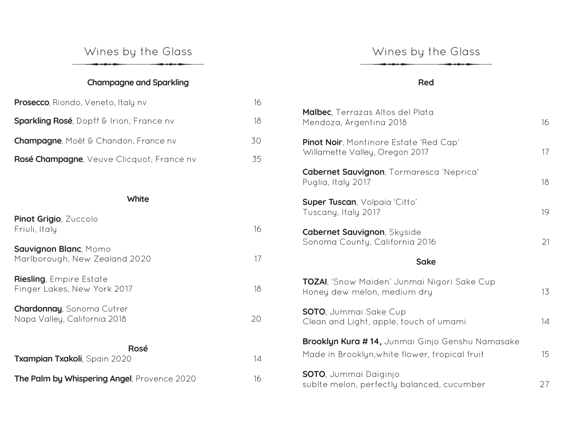## **Champagne and Sparkling**

| <b>Prosecco</b> , Riondo, Veneto, Italy nv        | 16 |
|---------------------------------------------------|----|
| <b>Sparkling Rosé</b> , Dopff & Irion, France nv  | 18 |
| <b>Champagne</b> , Moët & Chandon, France nv      | 30 |
| <b>Rosé Champagne</b> , Veuve Clicquot, France nv | 35 |

#### **White**

| Pinot Grigio, Zuccolo<br>Friuli, Italy                           | 16 |
|------------------------------------------------------------------|----|
| <b>Sauvignon Blanc, Momo</b><br>Marlborough, New Zealand 2020    | 17 |
| <b>Riesling</b> , Empire Estate<br>Finger Lakes, New York 2017   | 18 |
| <b>Chardonnay, Sonoma Cutrer</b><br>Napa Valley, California 2018 | 20 |
| Rosé                                                             |    |
| Txampian Txakoli, Spain 2020                                     | 14 |
| The Palm by Whispering Angel, Provence 2020                      | 16 |

### **Red**

| <b>Malbec</b> , Terrazas Altos del Plata<br>Mendoza, Argentina 2018                               | 16 |
|---------------------------------------------------------------------------------------------------|----|
| <b>Pinot Noir</b> , Montinore Estate 'Red Cap'<br>Willamette Valley, Oregon 2017                  | 17 |
| <b>Cabernet Sauvignon, Tormaresca 'Neprica'</b><br>Puglia, Italy 2017                             | 18 |
| <b>Super Tuscan, Volpaia 'Citto'</b><br>Tuscany, Italy 2017                                       | 19 |
| <b>Cabernet Sauvignon, Skyside</b><br>Sonoma County, California 2016                              | 21 |
| <b>Sake</b>                                                                                       |    |
| TOZAI, 'Snow Maiden' Junmai Nigori Sake Cup<br>Honey dew melon, medium dry                        | 13 |
| <b>SOTO</b> , Jummai Sake Cup<br>Clean and Light, apple, touch of umami                           | 14 |
| Brooklyn Kura #14, Junmai Ginjo Genshu Namasake<br>Made in Brooklyn, white flower, tropical fruit | 15 |
| <b>SOTO</b> , Jummai Daiginjo<br>sublte melon, perfectly balanced, cucumber                       | 27 |